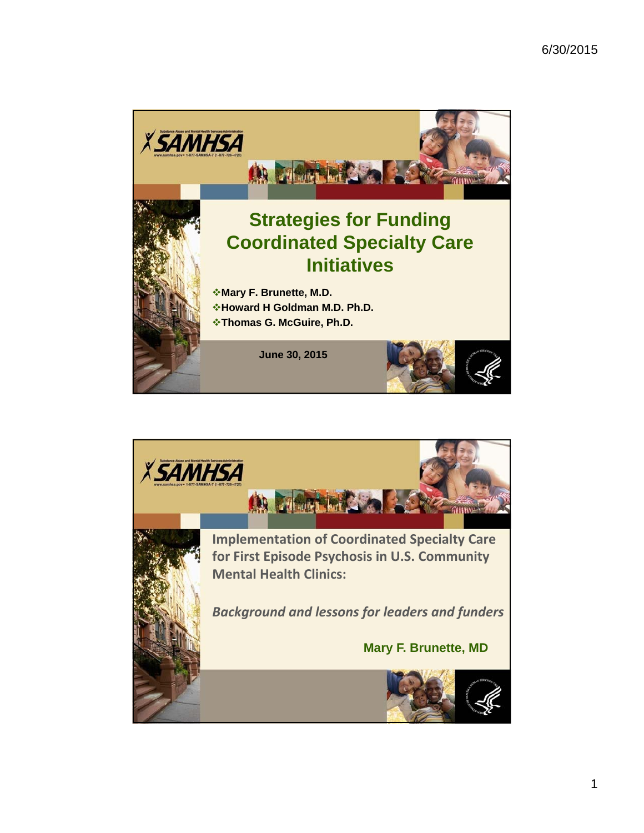

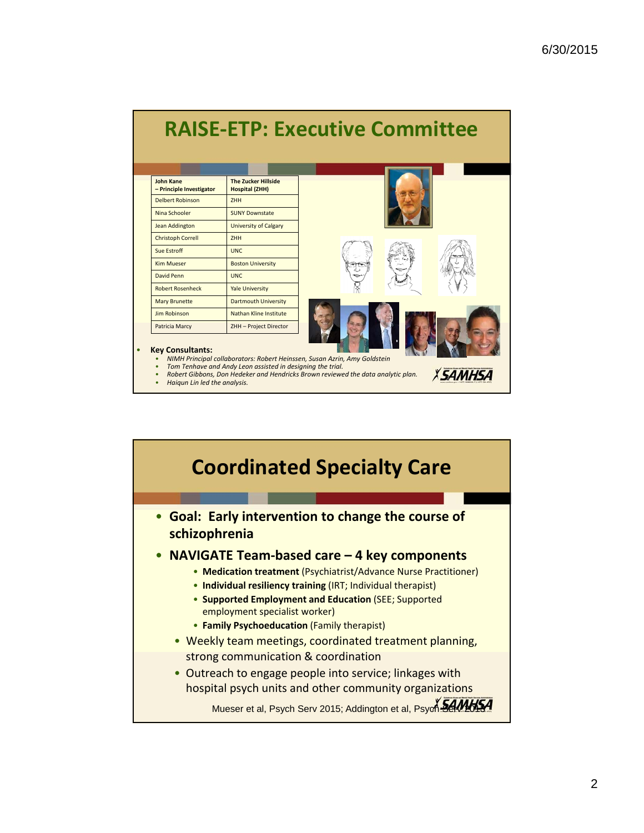| <b>John Kane</b><br>- Principle Investigator | <b>The Zucker Hillside</b><br><b>Hospital (ZHH)</b> |  |  |
|----------------------------------------------|-----------------------------------------------------|--|--|
| <b>Delbert Robinson</b>                      | <b>ZHH</b>                                          |  |  |
| Nina Schooler                                | <b>SUNY Downstate</b>                               |  |  |
| Jean Addington                               | <b>University of Calgary</b>                        |  |  |
| <b>Christoph Correll</b>                     | <b>ZHH</b>                                          |  |  |
| Sue Estroff                                  | UNC.                                                |  |  |
| <b>Kim Mueser</b>                            | <b>Boston University</b>                            |  |  |
| David Penn                                   | UNC.                                                |  |  |
| <b>Robert Rosenheck</b>                      | <b>Yale University</b>                              |  |  |
| <b>Mary Brunette</b>                         | <b>Dartmouth University</b>                         |  |  |
| Jim Robinson                                 | Nathan Kline Institute                              |  |  |
| Patricia Marcy                               | ZHH - Project Director                              |  |  |
| <b>Key Consultants:</b>                      |                                                     |  |  |

• *Haiqun Lin led the analysis.*

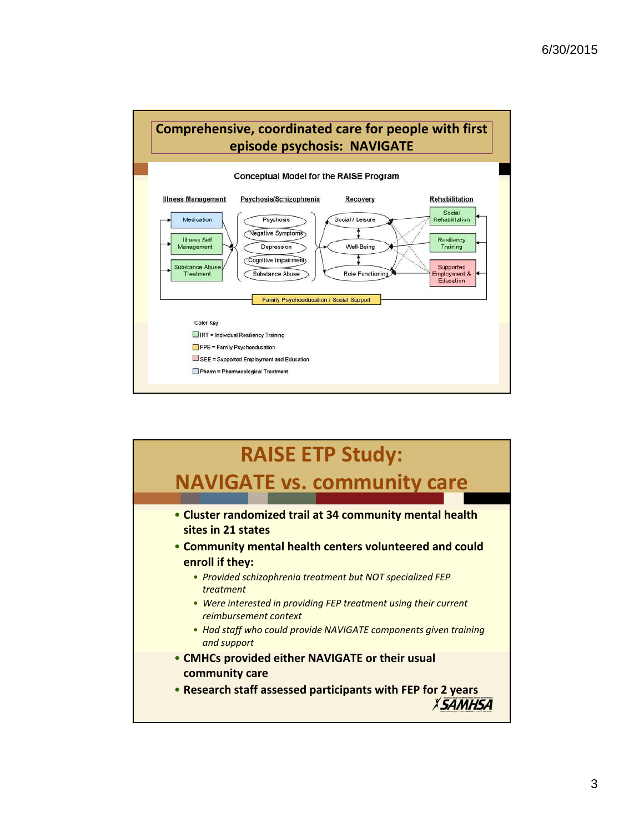

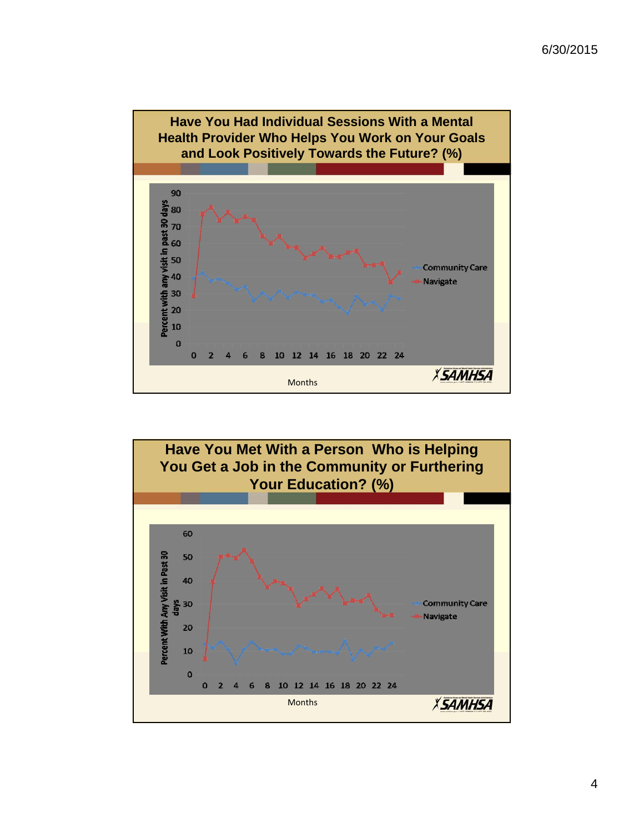

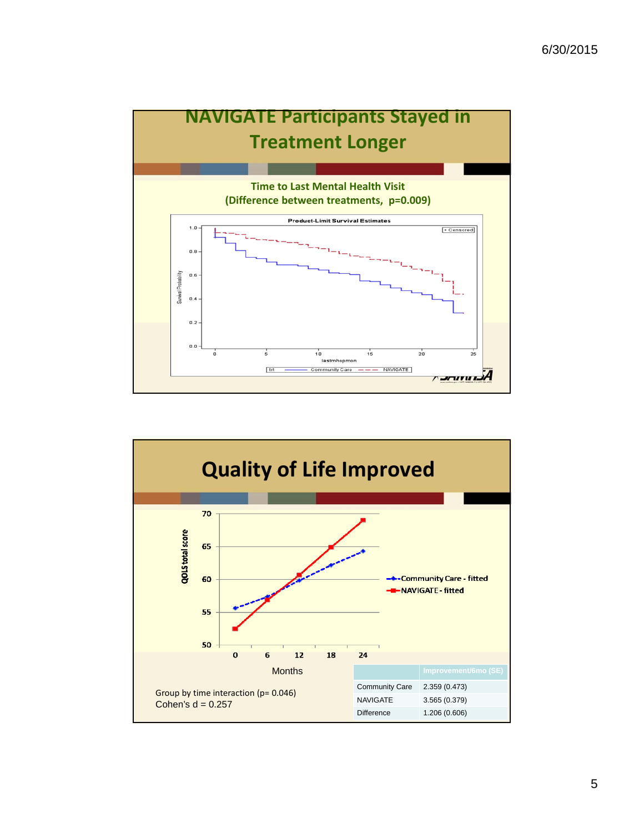

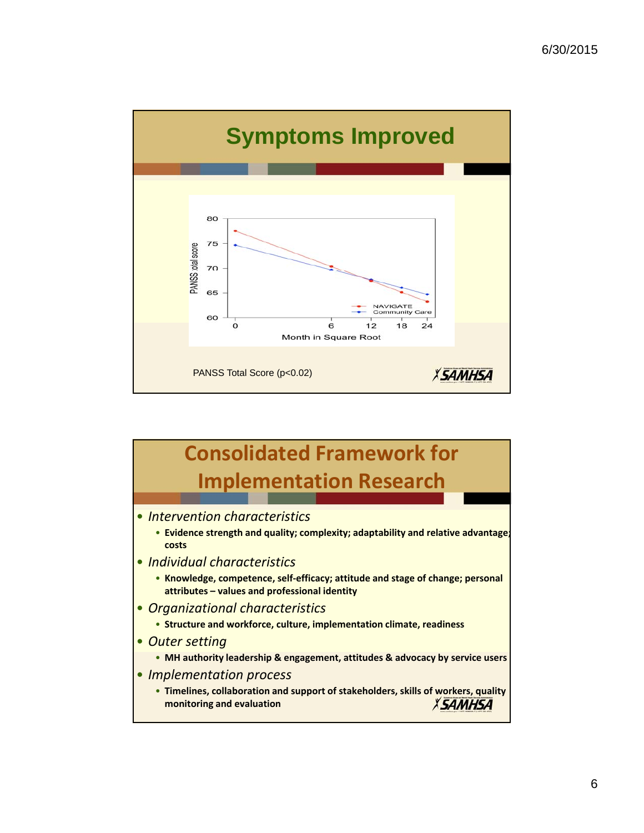

# **Consolidated Framework for Implementation Research**

- *Intervention characteristics*
	- **Evidence strength and quality; complexity; adaptability and relative advantage; costs**
- *Individual characteristics*
	- **Knowledge, competence, self‐efficacy; attitude and stage of change; personal attributes – values and professional identity**
- *Organizational characteristics*
	- **Structure and workforce, culture, implementation climate, readiness**
- *Outer setting*
	- **MH authority leadership & engagement, attitudes & advocacy by service users**
- *Implementation process*
	- **Timelines, collaboration and support of stakeholders, skills of workers, quality monitoring and evaluation***XSAMHSA*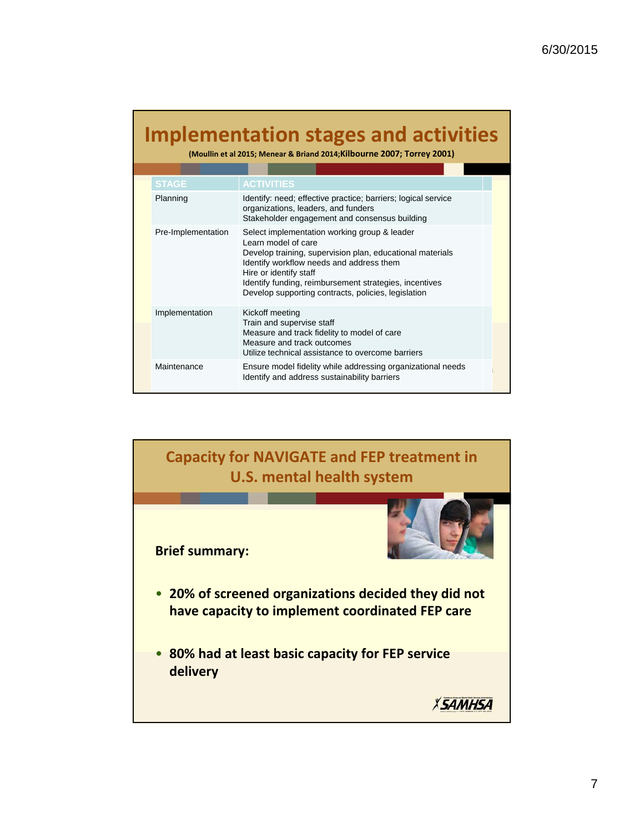# **Implementation stages and activities**

**(Moullin et al 2015; Menear & Briand 2014;Kilbourne 2007; Torrey 2001)**

|  | <b>STAGE</b>       | <b>ACTIVITIES</b>                                                                                                                                                                                                                                                                                                       |
|--|--------------------|-------------------------------------------------------------------------------------------------------------------------------------------------------------------------------------------------------------------------------------------------------------------------------------------------------------------------|
|  | Planning           | Identify: need; effective practice; barriers; logical service<br>organizations, leaders, and funders<br>Stakeholder engagement and consensus building                                                                                                                                                                   |
|  | Pre-Implementation | Select implementation working group & leader<br>Learn model of care<br>Develop training, supervision plan, educational materials<br>Identify workflow needs and address them<br>Hire or identify staff<br>Identify funding, reimbursement strategies, incentives<br>Develop supporting contracts, policies, legislation |
|  | Implementation     | Kickoff meeting<br>Train and supervise staff<br>Measure and track fidelity to model of care<br>Measure and track outcomes<br>Utilize technical assistance to overcome barriers                                                                                                                                          |
|  | Maintenance        | Ensure model fidelity while addressing organizational needs<br>Identify and address sustainability barriers                                                                                                                                                                                                             |

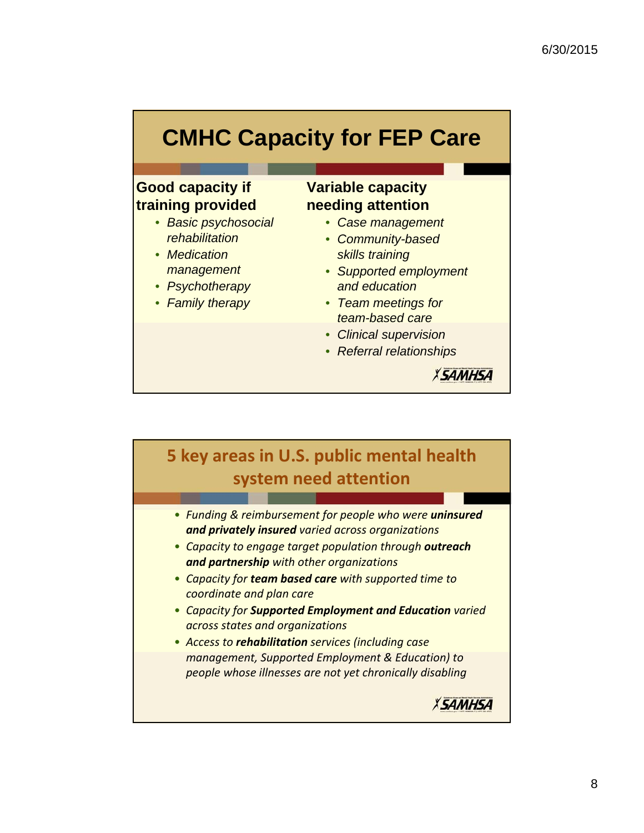# **CMHC Capacity for FEP Care**

### **Good capacity if training provided**

- *Basic psychosocial rehabilitation*
- *Medication management*
- *Psychotherapy*
- *Family therapy*

## **Variable capacity needing attention**

- *Case management*
- *Community-based skills training*
- *Supported employment and education*
- *Team meetings for team-based care*
- *Clinical supervision*
- *Referral relationships*



*XSAMHSA* 

## **5 key areas in U.S. public mental health system need attention**

- *Funding & reimbursement for people who were uninsured and privately insured varied across organizations*
- *Capacity to engage target population through outreach and partnership with other organizations*
- *Capacity for team based care with supported time to coordinate and plan care*
- *Capacity for Supported Employment and Education varied across states and organizations*
- *Access to rehabilitation services (including case management, Supported Employment & Education) to people whose illnesses are not yet chronically disabling*

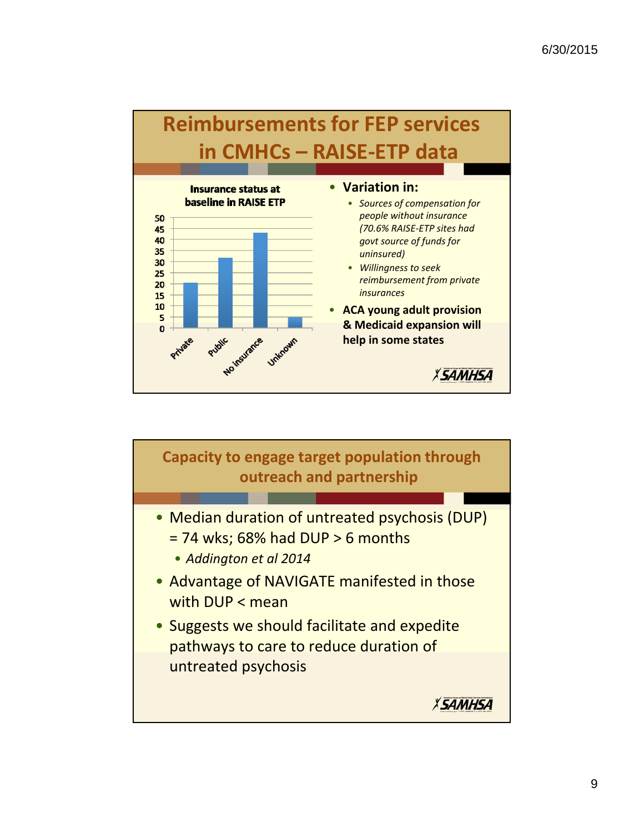

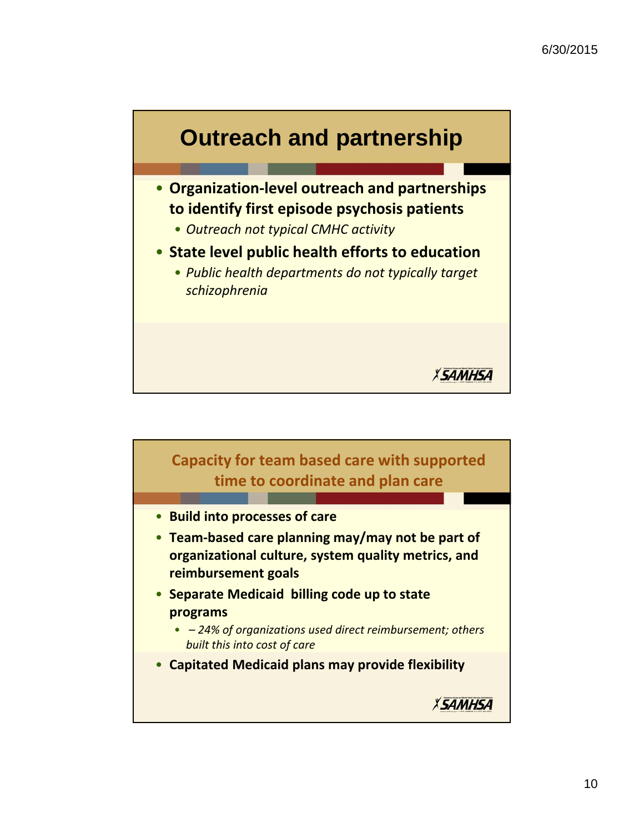

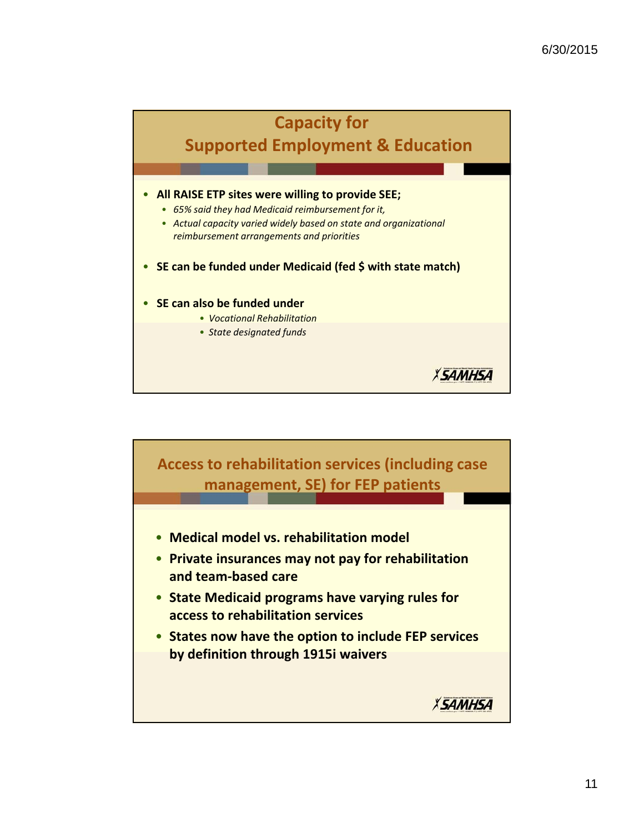*XSAMHSA* 

## **Capacity for**

# **Supported Employment & Education**

#### • **All RAISE ETP sites were willing to provide SEE;**

- *65% said they had Medicaid reimbursement for it,*
- *Actual capacity varied widely based on state and organizational reimbursement arrangements and priorities*
- **SE can be funded under Medicaid (fed \$ with state match)**

#### • **SE can also be funded under**

- *Vocational Rehabilitation*
- *State designated funds*

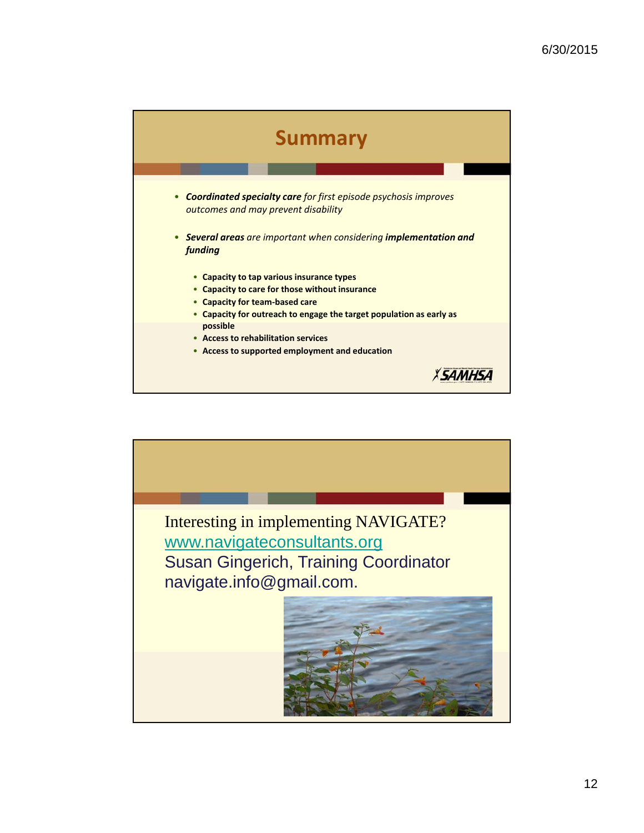

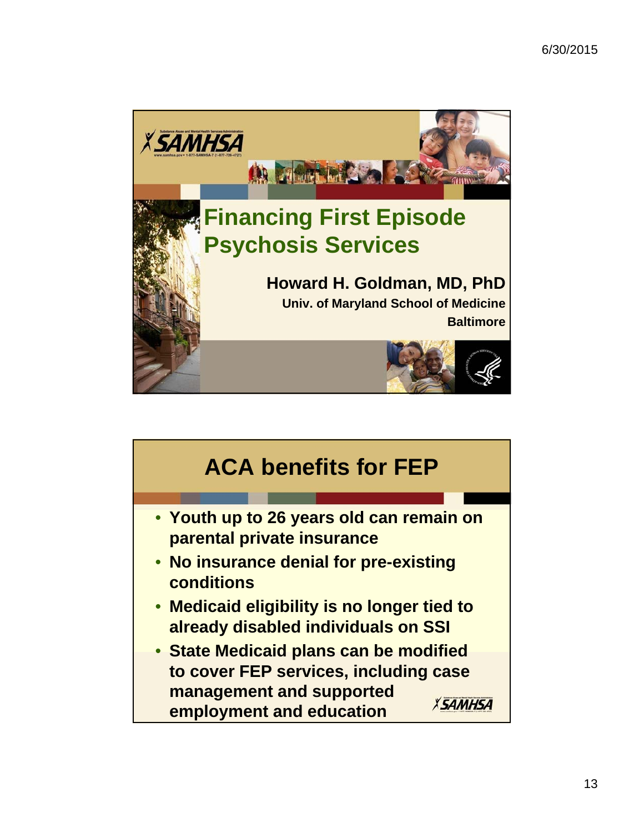

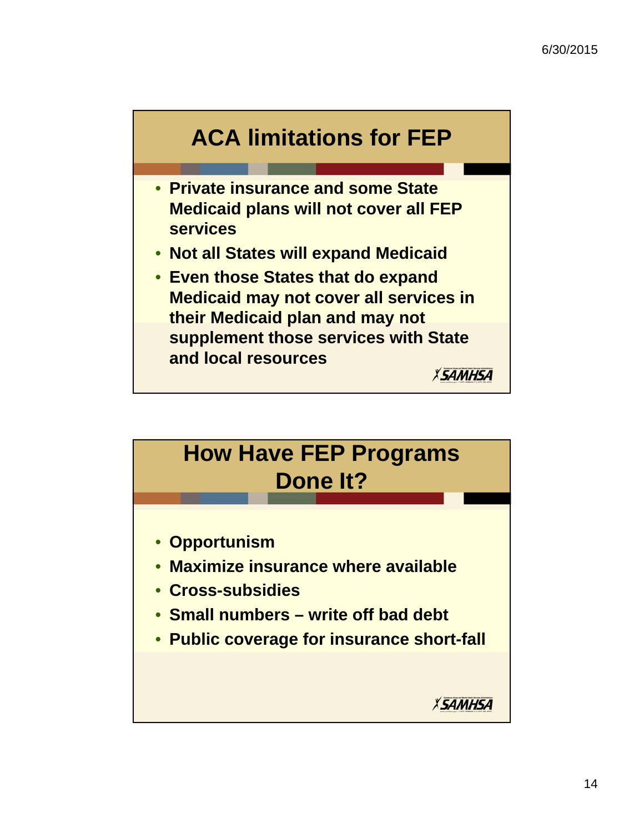

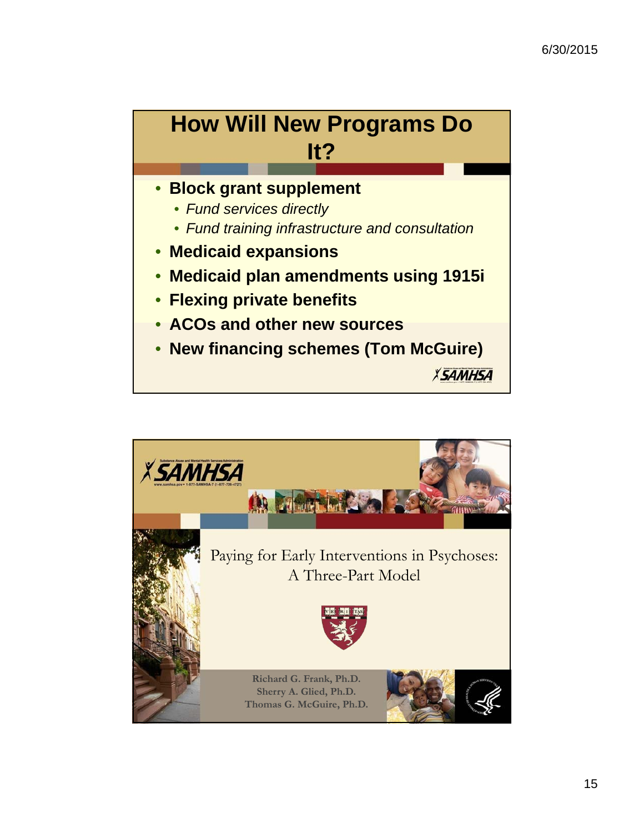

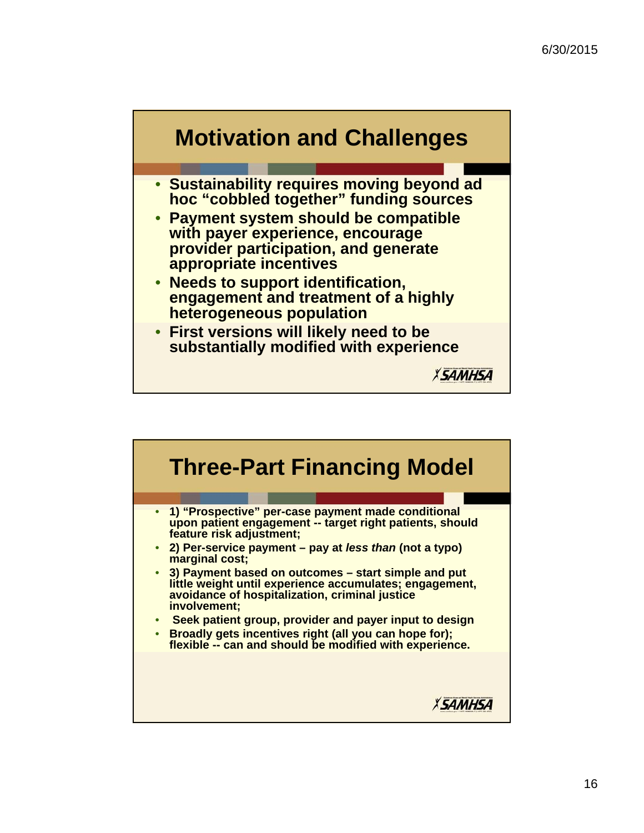

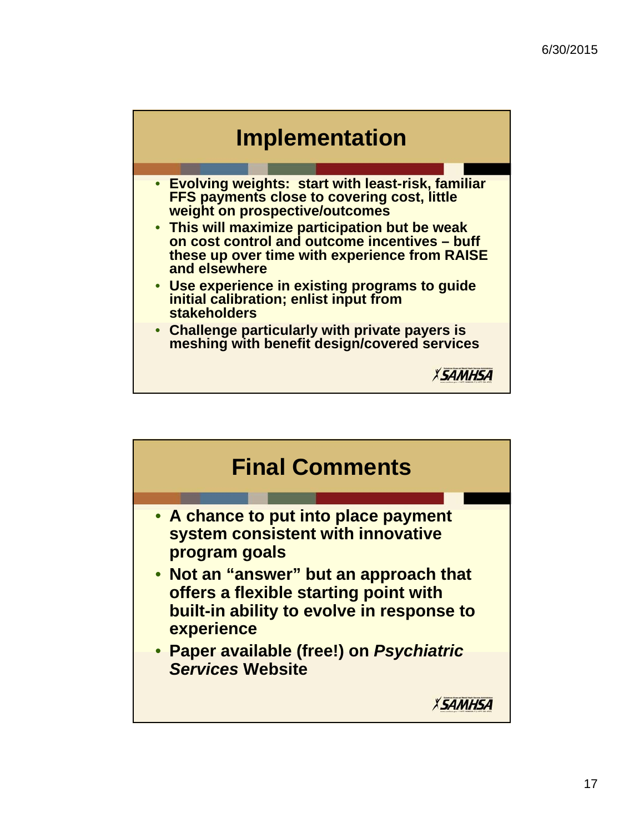